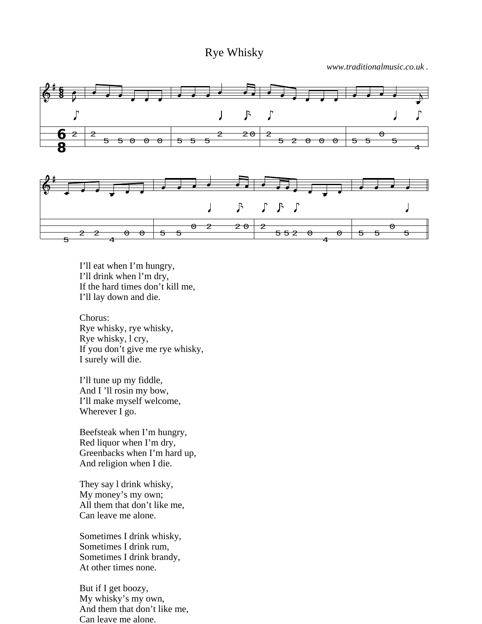## Rye Whisky

*www.traditionalmusic.co.uk .*



I'll eat when I'm hungry, I'll drink when l'm dry, If the hard times don't kill me, I'll lay down and die.

Chorus: Rye whisky, rye whisky, Rye whisky, l cry, If you don't give me rye whisky, I surely will die.

I'll tune up my fiddle, And I 'll rosin my bow, I'll make myself welcome, Wherever I go.

Beefsteak when I'm hungry, Red liquor when I'm dry, Greenbacks when I'm hard up, And religion when I die.

They say l drink whisky, My money's my own; All them that don't like me, Can leave me alone.

Sometimes I drink whisky, Sometimes I drink rum, Sometimes I drink brandy, At other times none.

But if I get boozy, My whisky's my own, And them that don't like me, Can leave me alone.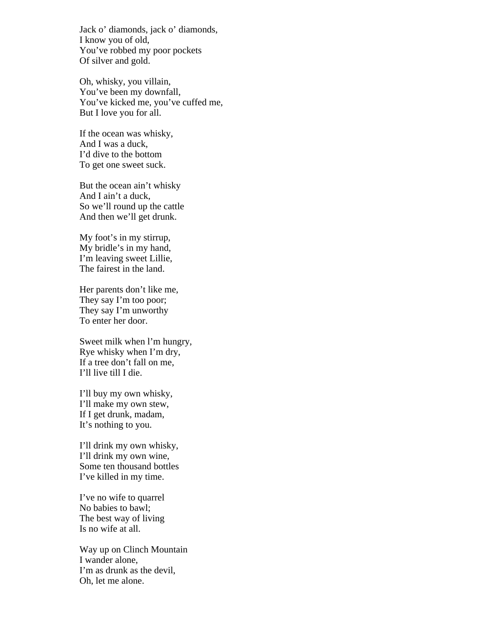Jack o' diamonds, jack o' diamonds, I know you of old, You've robbed my poor pockets Of silver and gold.

Oh, whisky, you villain, You've been my downfall, You've kicked me, you've cuffed me, But I love you for all.

If the ocean was whisky, And I was a duck, I'd dive to the bottom To get one sweet suck.

But the ocean ain't whisky And I ain't a duck, So we'll round up the cattle And then we'll get drunk.

My foot's in my stirrup, My bridle's in my hand, I'm leaving sweet Lillie, The fairest in the land.

Her parents don't like me, They say I'm too poor; They say I'm unworthy To enter her door.

Sweet milk when l'm hungry, Rye whisky when I'm dry, If a tree don't fall on me, I'll live till I die.

I'll buy my own whisky, I'll make my own stew, If I get drunk, madam, It's nothing to you.

I'll drink my own whisky, I'll drink my own wine, Some ten thousand bottles I've killed in my time.

I've no wife to quarrel No babies to bawl; The best way of living Is no wife at all.

Way up on Clinch Mountain I wander alone, I'm as drunk as the devil, Oh, let me alone.